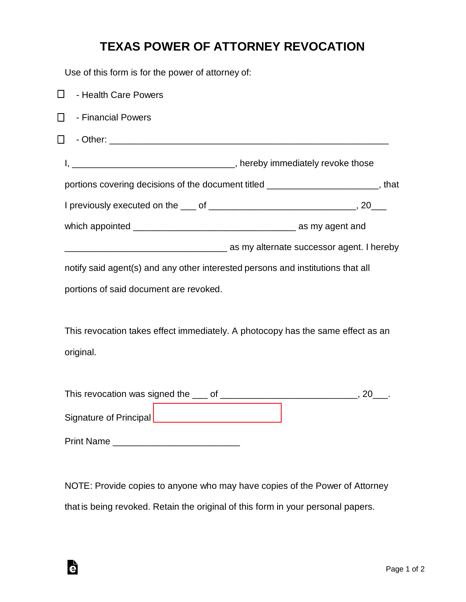## **TEXAS POWER OF ATTORNEY REVOCATION**

Use of this form is for the power of attorney of:

| ◻<br>- Health Care Powers                                                                    |                                                                                                  |
|----------------------------------------------------------------------------------------------|--------------------------------------------------------------------------------------------------|
| - Financial Powers<br>$\Box$                                                                 |                                                                                                  |
| $\Box$                                                                                       |                                                                                                  |
|                                                                                              |                                                                                                  |
|                                                                                              | portions covering decisions of the document titled ________________________, that                |
|                                                                                              |                                                                                                  |
|                                                                                              |                                                                                                  |
|                                                                                              | as my alternate successor agent. I hereby and the matter of the matter successor agent. I hereby |
| notify said agent(s) and any other interested persons and institutions that all              |                                                                                                  |
| portions of said document are revoked.                                                       |                                                                                                  |
| This revocation takes effect immediately. A photocopy has the same effect as an<br>original. |                                                                                                  |
|                                                                                              |                                                                                                  |
|                                                                                              |                                                                                                  |
|                                                                                              |                                                                                                  |

NOTE: Provide copies to anyone who may have copies of the Power of Attorney that is being revoked. Retain the original of this form in your personal papers.

è